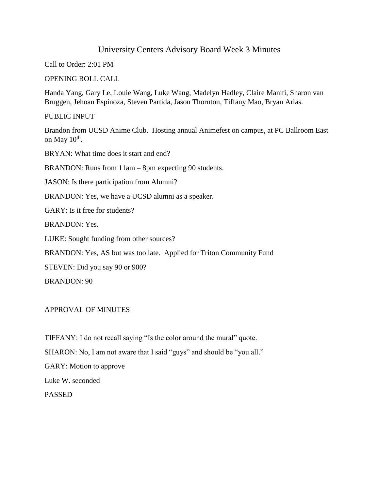# University Centers Advisory Board Week 3 Minutes

Call to Order: 2:01 PM

OPENING ROLL CALL

Handa Yang, Gary Le, Louie Wang, Luke Wang, Madelyn Hadley, Claire Maniti, Sharon van Bruggen, Jehoan Espinoza, Steven Partida, Jason Thornton, Tiffany Mao, Bryan Arias.

PUBLIC INPUT

Brandon from UCSD Anime Club. Hosting annual Animefest on campus, at PC Ballroom East on May  $10^{\text{th}}$ .

BRYAN: What time does it start and end?

BRANDON: Runs from 11am – 8pm expecting 90 students.

JASON: Is there participation from Alumni?

BRANDON: Yes, we have a UCSD alumni as a speaker.

GARY: Is it free for students?

BRANDON: Yes.

LUKE: Sought funding from other sources?

BRANDON: Yes, AS but was too late. Applied for Triton Community Fund

STEVEN: Did you say 90 or 900?

BRANDON: 90

APPROVAL OF MINUTES

TIFFANY: I do not recall saying "Is the color around the mural" quote. SHARON: No, I am not aware that I said "guys" and should be "you all." GARY: Motion to approve Luke W. seconded PASSED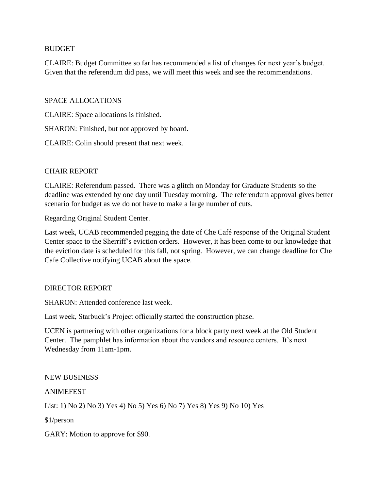### BUDGET

CLAIRE: Budget Committee so far has recommended a list of changes for next year's budget. Given that the referendum did pass, we will meet this week and see the recommendations.

# SPACE ALLOCATIONS

CLAIRE: Space allocations is finished.

SHARON: Finished, but not approved by board.

CLAIRE: Colin should present that next week.

### CHAIR REPORT

CLAIRE: Referendum passed. There was a glitch on Monday for Graduate Students so the deadline was extended by one day until Tuesday morning. The referendum approval gives better scenario for budget as we do not have to make a large number of cuts.

Regarding Original Student Center.

Last week, UCAB recommended pegging the date of Che Café response of the Original Student Center space to the Sherriff's eviction orders. However, it has been come to our knowledge that the eviction date is scheduled for this fall, not spring. However, we can change deadline for Che Cafe Collective notifying UCAB about the space.

#### DIRECTOR REPORT

SHARON: Attended conference last week.

Last week, Starbuck's Project officially started the construction phase.

UCEN is partnering with other organizations for a block party next week at the Old Student Center. The pamphlet has information about the vendors and resource centers. It's next Wednesday from 11am-1pm.

#### NEW BUSINESS

### ANIMEFEST

List: 1) No 2) No 3) Yes 4) No 5) Yes 6) No 7) Yes 8) Yes 9) No 10) Yes

\$1/person

GARY: Motion to approve for \$90.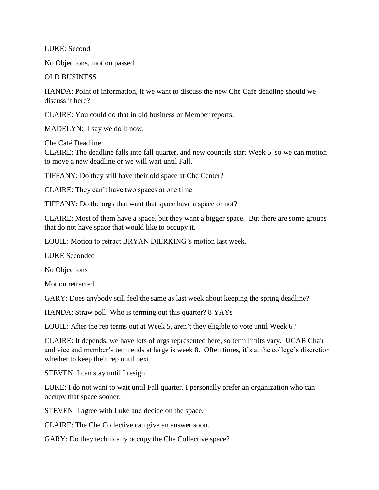LUKE: Second

No Objections, motion passed.

OLD BUSINESS

HANDA: Point of information, if we want to discuss the new Che Café deadline should we discuss it here?

CLAIRE: You could do that in old business or Member reports.

MADELYN: I say we do it now.

Che Café Deadline CLAIRE: The deadline falls into fall quarter, and new councils start Week 5, so we can motion to move a new deadline or we will wait until Fall.

TIFFANY: Do they still have their old space at Che Center?

CLAIRE: They can't have two spaces at one time

TIFFANY: Do the orgs that want that space have a space or not?

CLAIRE: Most of them have a space, but they want a bigger space. But there are some groups that do not have space that would like to occupy it.

LOUIE: Motion to retract BRYAN DIERKING's motion last week.

LUKE Seconded

No Objections

Motion retracted

GARY: Does anybody still feel the same as last week about keeping the spring deadline?

HANDA: Straw poll: Who is terming out this quarter? 8 YAYs

LOUIE: After the rep terms out at Week 5, aren't they eligible to vote until Week 6?

CLAIRE: It depends, we have lots of orgs represented here, so term limits vary. UCAB Chair and vice and member's term ends at large is week 8. Often times, it's at the college's discretion whether to keep their rep until next.

STEVEN: I can stay until I resign.

LUKE: I do not want to wait until Fall quarter. I personally prefer an organization who can occupy that space sooner.

STEVEN: I agree with Luke and decide on the space.

CLAIRE: The Che Collective can give an answer soon.

GARY: Do they technically occupy the Che Collective space?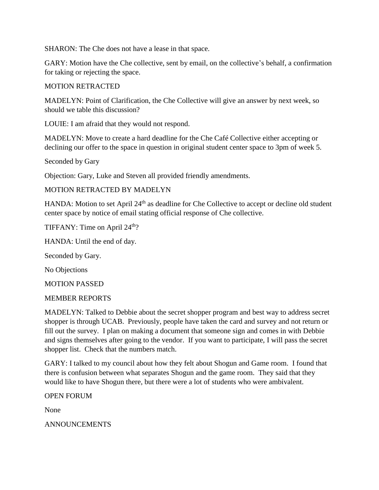SHARON: The Che does not have a lease in that space.

GARY: Motion have the Che collective, sent by email, on the collective's behalf, a confirmation for taking or rejecting the space.

# MOTION RETRACTED

MADELYN: Point of Clarification, the Che Collective will give an answer by next week, so should we table this discussion?

LOUIE: I am afraid that they would not respond.

MADELYN: Move to create a hard deadline for the Che Café Collective either accepting or declining our offer to the space in question in original student center space to 3pm of week 5.

Seconded by Gary

Objection: Gary, Luke and Steven all provided friendly amendments.

# MOTION RETRACTED BY MADELYN

HANDA: Motion to set April 24<sup>th</sup> as deadline for Che Collective to accept or decline old student center space by notice of email stating official response of Che collective.

TIFFANY: Time on April 24<sup>th</sup>?

HANDA: Until the end of day.

Seconded by Gary.

No Objections

MOTION PASSED

#### MEMBER REPORTS

MADELYN: Talked to Debbie about the secret shopper program and best way to address secret shopper is through UCAB. Previously, people have taken the card and survey and not return or fill out the survey. I plan on making a document that someone sign and comes in with Debbie and signs themselves after going to the vendor. If you want to participate, I will pass the secret shopper list. Check that the numbers match.

GARY: I talked to my council about how they felt about Shogun and Game room. I found that there is confusion between what separates Shogun and the game room. They said that they would like to have Shogun there, but there were a lot of students who were ambivalent.

OPEN FORUM

None

ANNOUNCEMENTS